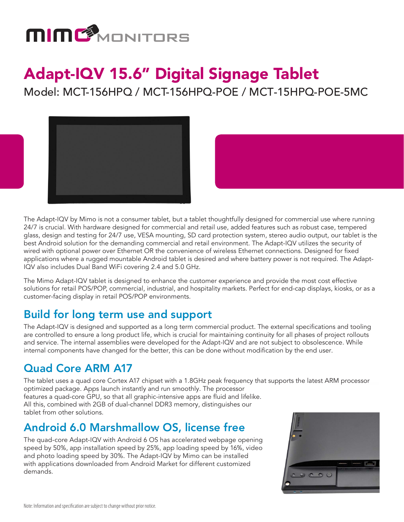

# Adapt-IQV 15.6" Digital Signage Tablet

Model: MCT-156HPQ / MCT-156HPQ-POE / MCT-15HPQ-POE-5MC



The Adapt-IQV by Mimo is not a consumer tablet, but a tablet thoughtfully designed for commercial use where running 24/7 is crucial. With hardware designed for commercial and retail use, added features such as robust case, tempered glass, design and testing for 24/7 use, VESA mounting, SD card protection system, stereo audio output, our tablet is the best Android solution for the demanding commercial and retail environment. The Adapt-IQV utilizes the security of wired with optional power over Ethernet OR the convenience of wireless Ethernet connections. Designed for fixed applications where a rugged mountable Android tablet is desired and where battery power is not required. The Adapt-IQV also includes Dual Band WiFi covering 2.4 and 5.0 GHz.

The Mimo Adapt-IQV tablet is designed to enhance the customer experience and provide the most cost effective solutions for retail POS/POP, commercial, industrial, and hospitality markets. Perfect for end-cap displays, kiosks, or as a customer-facing display in retail POS/POP environments.

### Build for long term use and support

The Adapt-IQV is designed and supported as a long term commercial product. The external specifications and tooling are controlled to ensure a long product life, which is crucial for maintaining continuity for all phases of project rollouts and service. The internal assemblies were developed for the Adapt-IQV and are not subject to obsolescence. While internal components have changed for the better, this can be done without modification by the end user.

### Quad Core ARM A17

The tablet uses a quad core Cortex A17 chipset with a 1.8GHz peak frequency that supports the latest ARM processor optimized package. Apps launch instantly and run smoothly. The processor features a quad-core GPU, so that all graphic-intensive apps are fluid and lifelike.

All this, combined with 2GB of dual-channel DDR3 memory, distinguishes our tablet from other solutions.

### Android 6.0 Marshmallow OS, license free

The quad-core Adapt-IQV with Android 6 OS has accelerated webpage opening speed by 50%, app installation speed by 25%, app loading speed by 16%, video and photo loading speed by 30%. The Adapt-IQV by Mimo can be installed with applications downloaded from Android Market for different customized demands.

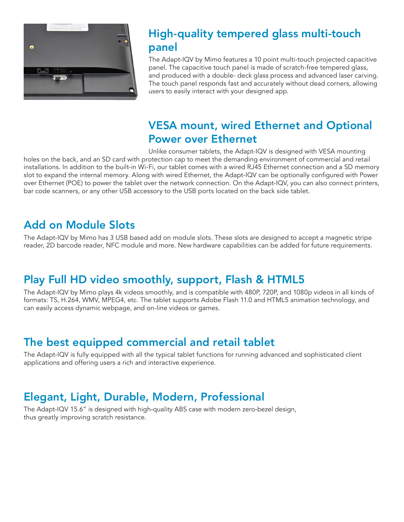

### High-quality tempered glass multi-touch panel

The Adapt-IQV by Mimo features a 10 point multi-touch projected capacitive panel. The capacitive touch panel is made of scratch-free tempered glass, and produced with a double- deck glass process and advanced laser carving. The touch panel responds fast and accurately without dead corners, allowing users to easily interact with your designed app.

### VESA mount, wired Ethernet and Optional Power over Ethernet

Unlike consumer tablets, the Adapt-IQV is designed with VESA mounting holes on the back, and an SD card with protection cap to meet the demanding environment of commercial and retail installations. In addition to the built-in Wi-Fi, our tablet comes with a wired RJ45 Ethernet connection and a SD memory slot to expand the internal memory. Along with wired Ethernet, the Adapt-IQV can be optionally configured with Power over Ethernet (POE) to power the tablet over the network connection. On the Adapt-IQV, you can also connect printers, bar code scanners, or any other USB accessory to the USB ports located on the back side tablet.

#### Add on Module Slots

The Adapt-IQV by Mimo has 3 USB based add on module slots. These slots are designed to accept a magnetic stripe reader, 2D barcode reader, NFC module and more. New hardware capabilities can be added for future requirements.

### Play Full HD video smoothly, support, Flash & HTML5

The Adapt-IQV by Mimo plays 4k videos smoothly, and is compatible with 480P, 720P, and 1080p videos in all kinds of formats: TS, H.264, WMV, MPEG4, etc. The tablet supports Adobe Flash 11.0 and HTML5 animation technology, and can easily access dynamic webpage, and on-line videos or games.

#### The best equipped commercial and retail tablet

The Adapt-IQV is fully equipped with all the typical tablet functions for running advanced and sophisticated client applications and offering users a rich and interactive experience.

#### Elegant, Light, Durable, Modern, Professional

The Adapt-IQV 15.6" is designed with high-quality ABS case with modern zero-bezel design, thus greatly improving scratch resistance.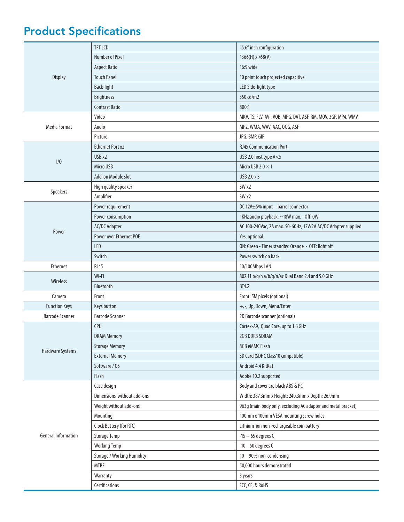## Product Specifications

| <b>Number of Pixel</b><br>1366(H) x 768(V)<br><b>Aspect Ratio</b><br>16:9 wide<br><b>Touch Panel</b><br>10 point touch projected capacitive<br>Display<br>LED Side-light type<br>Back-light<br>350 cd/m2<br><b>Brightness</b><br><b>Contrast Ratio</b><br>800:1<br>Video<br>MKV, TS, FLV, AVI, VOB, MPG, DAT, ASF, RM, MOV, 3GP, MP4, WMV<br>Media Format<br>Audio<br>MP2, WMA, WAV, AAC, OGG, ASF<br>Picture<br>JPG, BMP, GIF<br><b>Ethernet Port x2</b><br><b>RJ45 Communication Port</b><br>USB x2<br>USB 2.0 host type A×5<br>1/0<br>Micro USB<br>Micro USB 2.0 $\times$ 1<br>Add-on Module slot<br>USB 2.0 x 3<br>3W x2<br>High quality speaker<br>Speakers<br>Amplifier<br>3W x2<br>Power requirement<br>DC 12V±5% input - barrel connector<br>1KHz audio playback: ~18W max. - Off: 0W<br>Power consumption<br><b>AC/DC Adapter</b><br>AC 100-240Vac, 2A max. 50-60Hz, 12V/2A AC/DC Adapter supplied<br>Power<br><b>Power over Ethernet POE</b><br>Yes, optional<br>LED<br>ON: Green - Timer standby: Orange - OFF: light off<br>Power switch on back<br>Switch<br>Ethernet<br><b>RJ45</b><br>10/100Mbps LAN<br>802.11 b/g/n a/b/g/n/ac Dual Band 2.4 and 5.0 GHz<br>Wi-Fi<br>Wireless<br>Bluetooth<br><b>BT4.2</b><br>Camera<br>Front<br>Front: 5M pixels (optional)<br>Keys button<br>+, -, Up, Down, Menu/Enter<br><b>Function Keys</b><br><b>Barcode Scanner</b><br><b>Barcode Scanner</b><br>2D Barcode scanner (optional)<br>CPU<br>Cortex-A9, Quad Core, up to 1.6 GHz |
|--------------------------------------------------------------------------------------------------------------------------------------------------------------------------------------------------------------------------------------------------------------------------------------------------------------------------------------------------------------------------------------------------------------------------------------------------------------------------------------------------------------------------------------------------------------------------------------------------------------------------------------------------------------------------------------------------------------------------------------------------------------------------------------------------------------------------------------------------------------------------------------------------------------------------------------------------------------------------------------------------------------------------------------------------------------------------------------------------------------------------------------------------------------------------------------------------------------------------------------------------------------------------------------------------------------------------------------------------------------------------------------------------------------------------------------------------------------------------------------|
|                                                                                                                                                                                                                                                                                                                                                                                                                                                                                                                                                                                                                                                                                                                                                                                                                                                                                                                                                                                                                                                                                                                                                                                                                                                                                                                                                                                                                                                                                      |
|                                                                                                                                                                                                                                                                                                                                                                                                                                                                                                                                                                                                                                                                                                                                                                                                                                                                                                                                                                                                                                                                                                                                                                                                                                                                                                                                                                                                                                                                                      |
|                                                                                                                                                                                                                                                                                                                                                                                                                                                                                                                                                                                                                                                                                                                                                                                                                                                                                                                                                                                                                                                                                                                                                                                                                                                                                                                                                                                                                                                                                      |
|                                                                                                                                                                                                                                                                                                                                                                                                                                                                                                                                                                                                                                                                                                                                                                                                                                                                                                                                                                                                                                                                                                                                                                                                                                                                                                                                                                                                                                                                                      |
|                                                                                                                                                                                                                                                                                                                                                                                                                                                                                                                                                                                                                                                                                                                                                                                                                                                                                                                                                                                                                                                                                                                                                                                                                                                                                                                                                                                                                                                                                      |
|                                                                                                                                                                                                                                                                                                                                                                                                                                                                                                                                                                                                                                                                                                                                                                                                                                                                                                                                                                                                                                                                                                                                                                                                                                                                                                                                                                                                                                                                                      |
|                                                                                                                                                                                                                                                                                                                                                                                                                                                                                                                                                                                                                                                                                                                                                                                                                                                                                                                                                                                                                                                                                                                                                                                                                                                                                                                                                                                                                                                                                      |
|                                                                                                                                                                                                                                                                                                                                                                                                                                                                                                                                                                                                                                                                                                                                                                                                                                                                                                                                                                                                                                                                                                                                                                                                                                                                                                                                                                                                                                                                                      |
|                                                                                                                                                                                                                                                                                                                                                                                                                                                                                                                                                                                                                                                                                                                                                                                                                                                                                                                                                                                                                                                                                                                                                                                                                                                                                                                                                                                                                                                                                      |
|                                                                                                                                                                                                                                                                                                                                                                                                                                                                                                                                                                                                                                                                                                                                                                                                                                                                                                                                                                                                                                                                                                                                                                                                                                                                                                                                                                                                                                                                                      |
|                                                                                                                                                                                                                                                                                                                                                                                                                                                                                                                                                                                                                                                                                                                                                                                                                                                                                                                                                                                                                                                                                                                                                                                                                                                                                                                                                                                                                                                                                      |
|                                                                                                                                                                                                                                                                                                                                                                                                                                                                                                                                                                                                                                                                                                                                                                                                                                                                                                                                                                                                                                                                                                                                                                                                                                                                                                                                                                                                                                                                                      |
|                                                                                                                                                                                                                                                                                                                                                                                                                                                                                                                                                                                                                                                                                                                                                                                                                                                                                                                                                                                                                                                                                                                                                                                                                                                                                                                                                                                                                                                                                      |
|                                                                                                                                                                                                                                                                                                                                                                                                                                                                                                                                                                                                                                                                                                                                                                                                                                                                                                                                                                                                                                                                                                                                                                                                                                                                                                                                                                                                                                                                                      |
|                                                                                                                                                                                                                                                                                                                                                                                                                                                                                                                                                                                                                                                                                                                                                                                                                                                                                                                                                                                                                                                                                                                                                                                                                                                                                                                                                                                                                                                                                      |
|                                                                                                                                                                                                                                                                                                                                                                                                                                                                                                                                                                                                                                                                                                                                                                                                                                                                                                                                                                                                                                                                                                                                                                                                                                                                                                                                                                                                                                                                                      |
|                                                                                                                                                                                                                                                                                                                                                                                                                                                                                                                                                                                                                                                                                                                                                                                                                                                                                                                                                                                                                                                                                                                                                                                                                                                                                                                                                                                                                                                                                      |
|                                                                                                                                                                                                                                                                                                                                                                                                                                                                                                                                                                                                                                                                                                                                                                                                                                                                                                                                                                                                                                                                                                                                                                                                                                                                                                                                                                                                                                                                                      |
|                                                                                                                                                                                                                                                                                                                                                                                                                                                                                                                                                                                                                                                                                                                                                                                                                                                                                                                                                                                                                                                                                                                                                                                                                                                                                                                                                                                                                                                                                      |
|                                                                                                                                                                                                                                                                                                                                                                                                                                                                                                                                                                                                                                                                                                                                                                                                                                                                                                                                                                                                                                                                                                                                                                                                                                                                                                                                                                                                                                                                                      |
|                                                                                                                                                                                                                                                                                                                                                                                                                                                                                                                                                                                                                                                                                                                                                                                                                                                                                                                                                                                                                                                                                                                                                                                                                                                                                                                                                                                                                                                                                      |
|                                                                                                                                                                                                                                                                                                                                                                                                                                                                                                                                                                                                                                                                                                                                                                                                                                                                                                                                                                                                                                                                                                                                                                                                                                                                                                                                                                                                                                                                                      |
|                                                                                                                                                                                                                                                                                                                                                                                                                                                                                                                                                                                                                                                                                                                                                                                                                                                                                                                                                                                                                                                                                                                                                                                                                                                                                                                                                                                                                                                                                      |
|                                                                                                                                                                                                                                                                                                                                                                                                                                                                                                                                                                                                                                                                                                                                                                                                                                                                                                                                                                                                                                                                                                                                                                                                                                                                                                                                                                                                                                                                                      |
|                                                                                                                                                                                                                                                                                                                                                                                                                                                                                                                                                                                                                                                                                                                                                                                                                                                                                                                                                                                                                                                                                                                                                                                                                                                                                                                                                                                                                                                                                      |
|                                                                                                                                                                                                                                                                                                                                                                                                                                                                                                                                                                                                                                                                                                                                                                                                                                                                                                                                                                                                                                                                                                                                                                                                                                                                                                                                                                                                                                                                                      |
|                                                                                                                                                                                                                                                                                                                                                                                                                                                                                                                                                                                                                                                                                                                                                                                                                                                                                                                                                                                                                                                                                                                                                                                                                                                                                                                                                                                                                                                                                      |
|                                                                                                                                                                                                                                                                                                                                                                                                                                                                                                                                                                                                                                                                                                                                                                                                                                                                                                                                                                                                                                                                                                                                                                                                                                                                                                                                                                                                                                                                                      |
| 2GB DDR3 SDRAM<br><b>DRAM Memory</b>                                                                                                                                                                                                                                                                                                                                                                                                                                                                                                                                                                                                                                                                                                                                                                                                                                                                                                                                                                                                                                                                                                                                                                                                                                                                                                                                                                                                                                                 |
| <b>Storage Memory</b><br>8GB eMMC Flash                                                                                                                                                                                                                                                                                                                                                                                                                                                                                                                                                                                                                                                                                                                                                                                                                                                                                                                                                                                                                                                                                                                                                                                                                                                                                                                                                                                                                                              |
| Hardware Systems<br><b>External Memory</b><br>SD Card (SDHC Class10 compatible)                                                                                                                                                                                                                                                                                                                                                                                                                                                                                                                                                                                                                                                                                                                                                                                                                                                                                                                                                                                                                                                                                                                                                                                                                                                                                                                                                                                                      |
| Software / OS<br>Android 4.4 KitKat                                                                                                                                                                                                                                                                                                                                                                                                                                                                                                                                                                                                                                                                                                                                                                                                                                                                                                                                                                                                                                                                                                                                                                                                                                                                                                                                                                                                                                                  |
| Flash<br>Adobe 10.2 supported                                                                                                                                                                                                                                                                                                                                                                                                                                                                                                                                                                                                                                                                                                                                                                                                                                                                                                                                                                                                                                                                                                                                                                                                                                                                                                                                                                                                                                                        |
| Body and cover are black ABS & PC<br>Case design                                                                                                                                                                                                                                                                                                                                                                                                                                                                                                                                                                                                                                                                                                                                                                                                                                                                                                                                                                                                                                                                                                                                                                                                                                                                                                                                                                                                                                     |
| Dimensions without add-ons<br>Width: 387.3mm x Height: 240.3mm x Depth: 26.9mm                                                                                                                                                                                                                                                                                                                                                                                                                                                                                                                                                                                                                                                                                                                                                                                                                                                                                                                                                                                                                                                                                                                                                                                                                                                                                                                                                                                                       |
| Weight without add-ons<br>963g (main body only, excluding AC adapter and metal bracket)                                                                                                                                                                                                                                                                                                                                                                                                                                                                                                                                                                                                                                                                                                                                                                                                                                                                                                                                                                                                                                                                                                                                                                                                                                                                                                                                                                                              |
| 100mm x 100mm VESA mounting screw holes<br>Mounting                                                                                                                                                                                                                                                                                                                                                                                                                                                                                                                                                                                                                                                                                                                                                                                                                                                                                                                                                                                                                                                                                                                                                                                                                                                                                                                                                                                                                                  |
| Clock Battery (for RTC)<br>Lithium-ion non-rechargeable coin battery                                                                                                                                                                                                                                                                                                                                                                                                                                                                                                                                                                                                                                                                                                                                                                                                                                                                                                                                                                                                                                                                                                                                                                                                                                                                                                                                                                                                                 |
| <b>General Information</b><br>-15 -- 65 degrees C<br><b>Storage Temp</b>                                                                                                                                                                                                                                                                                                                                                                                                                                                                                                                                                                                                                                                                                                                                                                                                                                                                                                                                                                                                                                                                                                                                                                                                                                                                                                                                                                                                             |
| <b>Working Temp</b><br>-10 --50 degrees C                                                                                                                                                                                                                                                                                                                                                                                                                                                                                                                                                                                                                                                                                                                                                                                                                                                                                                                                                                                                                                                                                                                                                                                                                                                                                                                                                                                                                                            |
| Storage / Working Humidity<br>10 - 90% non-condensing                                                                                                                                                                                                                                                                                                                                                                                                                                                                                                                                                                                                                                                                                                                                                                                                                                                                                                                                                                                                                                                                                                                                                                                                                                                                                                                                                                                                                                |
| <b>MTBF</b><br>50,000 hours demonstrated                                                                                                                                                                                                                                                                                                                                                                                                                                                                                                                                                                                                                                                                                                                                                                                                                                                                                                                                                                                                                                                                                                                                                                                                                                                                                                                                                                                                                                             |
| Warranty<br>3 years                                                                                                                                                                                                                                                                                                                                                                                                                                                                                                                                                                                                                                                                                                                                                                                                                                                                                                                                                                                                                                                                                                                                                                                                                                                                                                                                                                                                                                                                  |
| FCC, CE, & RoHS<br>Certifications                                                                                                                                                                                                                                                                                                                                                                                                                                                                                                                                                                                                                                                                                                                                                                                                                                                                                                                                                                                                                                                                                                                                                                                                                                                                                                                                                                                                                                                    |